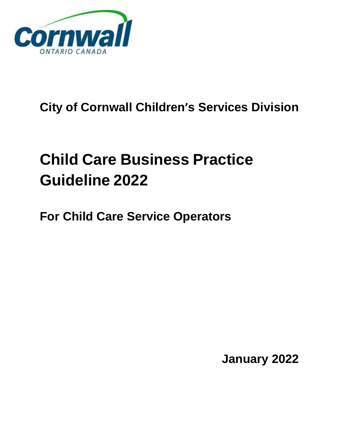

## **City of Cornwall Children's Services Division**

# **Child Care Business Practice Guideline 2022**

**For Child Care Service Operators**

**January 2022**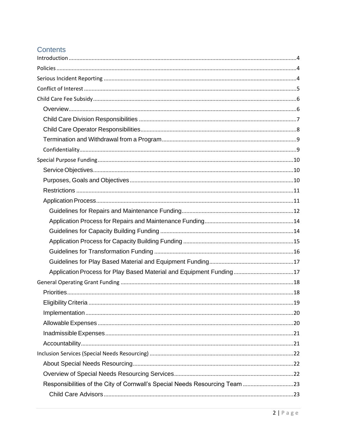## **Contents**

|                                                                             | 19 |
|-----------------------------------------------------------------------------|----|
|                                                                             |    |
|                                                                             |    |
|                                                                             |    |
|                                                                             |    |
|                                                                             |    |
|                                                                             |    |
|                                                                             |    |
| Responsibilities of the City of Cornwall's Special Needs Resourcing Team 23 |    |
|                                                                             |    |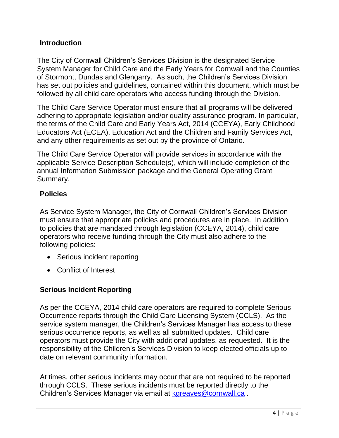## <span id="page-3-0"></span>**Introduction**

The City of Cornwall Children's Services Division is the designated Service System Manager for Child Care and the Early Years for Cornwall and the Counties of Stormont, Dundas and Glengarry. As such, the Children's Services Division has set out policies and guidelines, contained within this document, which must be followed by all child care operators who access funding through the Division.

The Child Care Service Operator must ensure that all programs will be delivered adhering to appropriate legislation and/or quality assurance program. In particular, the terms of the Child Care and Early Years Act, 2014 (CCEYA), Early Childhood Educators Act (ECEA), Education Act and the Children and Family Services Act, and any other requirements as set out by the province of Ontario.

The Child Care Service Operator will provide services in accordance with the applicable Service Description Schedule(s), which will include completion of the annual Information Submission package and the General Operating Grant Summary.

## <span id="page-3-1"></span>**Policies**

As Service System Manager, the City of Cornwall Children's Services Division must ensure that appropriate policies and procedures are in place. In addition to policies that are mandated through legislation (CCEYA, 2014), child care operators who receive funding through the City must also adhere to the following policies:

- Serious incident reporting
- Conflict of Interest

## <span id="page-3-2"></span>**Serious Incident Reporting**

As per the CCEYA, 2014 child care operators are required to complete Serious Occurrence reports through the Child Care Licensing System (CCLS). As the service system manager, the Children's Services Manager has access to these serious occurrence reports, as well as all submitted updates. Child care operators must provide the City with additional updates, as requested. It is the responsibility of the Children's Services Division to keep elected officials up to date on relevant community information.

At times, other serious incidents may occur that are not required to be reported through CCLS. These serious incidents must be reported directly to the Children's Services Manager via email at [kgreaves@cornwall.ca](mailto:kgreaves@cornwall.ca) .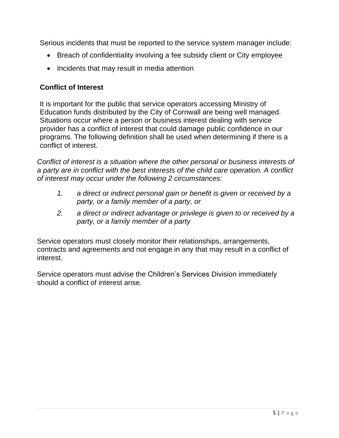Serious incidents that must be reported to the service system manager include:

- Breach of confidentiality involving a fee subsidy client or City employee
- Incidents that may result in media attention

## <span id="page-4-0"></span>**Conflict of Interest**

It is important for the public that service operators accessing Ministry of Education funds distributed by the City of Cornwall are being well managed. Situations occur where a person or business interest dealing with service provider has a conflict of interest that could damage public confidence in our programs. The following definition shall be used when determining if there is a conflict of interest.

*Conflict of interest is a situation where the other personal or business interests of a party are in conflict with the best interests of the child care operation. A conflict of interest may occur under the following 2 circumstances:*

- *1. a direct or indirect personal gain or benefit is given or received by a party, or a family member of a party, or*
- *2. a direct or indirect advantage or privilege is given to or received by a party, or a family member of a party*

Service operators must closely monitor their relationships, arrangements, contracts and agreements and not engage in any that may result in a conflict of interest.

Service operators must advise the Children's Services Division immediately should a conflict of interest arise.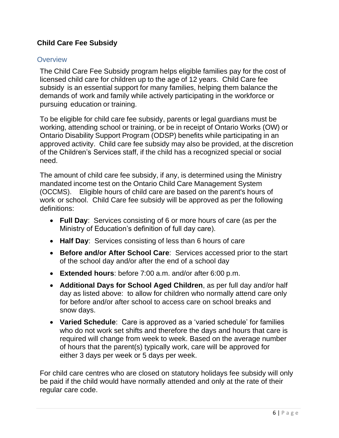## <span id="page-5-0"></span>**Child Care Fee Subsidy**

#### <span id="page-5-1"></span>**Overview**

The Child Care Fee Subsidy program helps eligible families pay for the cost of licensed child care for children up to the age of 12 years. Child Care fee subsidy is an essential support for many families, helping them balance the demands of work and family while actively participating in the workforce or pursuing education or training.

To be eligible for child care fee subsidy, parents or legal guardians must be working, attending school or training, or be in receipt of Ontario Works (OW) or Ontario Disability Support Program (ODSP) benefits while participating in an approved activity. Child care fee subsidy may also be provided, at the discretion of the Children's Services staff, if the child has a recognized special or social need.

The amount of child care fee subsidy, if any, is determined using the Ministry mandated income test on the Ontario Child Care Management System (OCCMS). Eligible hours of child care are based on the parent's hours of work or school. Child Care fee subsidy will be approved as per the following definitions:

- **Full Day**: Services consisting of 6 or more hours of care (as per the Ministry of Education's definition of full day care).
- **Half Day**: Services consisting of less than 6 hours of care
- **Before and/or After School Care**: Services accessed prior to the start of the school day and/or after the end of a school day
- **Extended hours**: before 7:00 a.m. and/or after 6:00 p.m.
- **Additional Days for School Aged Children**, as per full day and/or half day as listed above: to allow for children who normally attend care only for before and/or after school to access care on school breaks and snow days.
- **Varied Schedule**: Care is approved as a 'varied schedule' for families who do not work set shifts and therefore the days and hours that care is required will change from week to week. Based on the average number of hours that the parent(s) typically work, care will be approved for either 3 days per week or 5 days per week.

For child care centres who are closed on statutory holidays fee subsidy will only be paid if the child would have normally attended and only at the rate of their regular care code.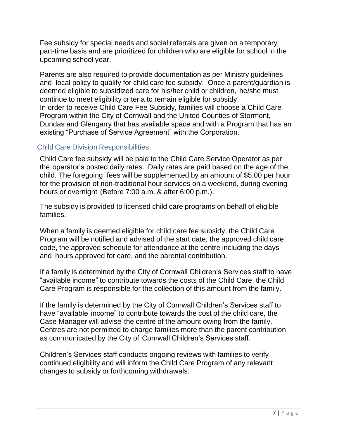Fee subsidy for special needs and social referrals are given on a temporary part-time basis and are prioritized for children who are eligible for school in the upcoming school year.

Parents are also required to provide documentation as per Ministry guidelines and local policy to qualify for child care fee subsidy. Once a parent/guardian is deemed eligible to subsidized care for his/her child or children, he/she must continue to meet eligibility criteria to remain eligible for subsidy. In order to receive Child Care Fee Subsidy, families will choose a Child Care Program within the City of Cornwall and the United Counties of Stormont, Dundas and Glengarry that has available space and with a Program that has an existing "Purchase of Service Agreement" with the Corporation.

## <span id="page-6-0"></span>Child Care Division Responsibilities

Child Care fee subsidy will be paid to the Child Care Service Operator as per the operator's posted daily rates. Daily rates are paid based on the age of the child. The foregoing fees will be supplemented by an amount of \$5.00 per hour for the provision of non-traditional hour services on a weekend, during evening hours or overnight (Before 7:00 a.m. & after 6:00 p.m.).

The subsidy is provided to licensed child care programs on behalf of eligible families.

When a family is deemed eligible for child care fee subsidy, the Child Care Program will be notified and advised of the start date, the approved child care code, the approved schedule for attendance at the centre including the days and hours approved for care, and the parental contribution.

If a family is determined by the City of Cornwall Children's Services staff to have "available income" to contribute towards the costs of the Child Care, the Child Care Program is responsible for the collection of this amount from the family.

If the family is determined by the City of Cornwall Children's Services staff to have "available income" to contribute towards the cost of the child care, the Case Manager will advise the centre of the amount owing from the family. Centres are not permitted to charge families more than the parent contribution as communicated by the City of Cornwall Children's Services staff.

Children's Services staff conducts ongoing reviews with families to verify continued eligibility and will inform the Child Care Program of any relevant changes to subsidy or forthcoming withdrawals.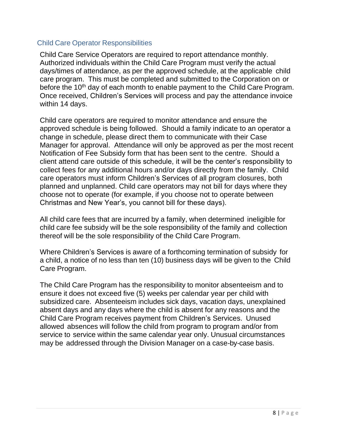## <span id="page-7-0"></span>Child Care Operator Responsibilities

Child Care Service Operators are required to report attendance monthly. Authorized individuals within the Child Care Program must verify the actual days/times of attendance, as per the approved schedule, at the applicable child care program. This must be completed and submitted to the Corporation on or before the 10<sup>th</sup> day of each month to enable payment to the Child Care Program. Once received, Children's Services will process and pay the attendance invoice within 14 days.

Child care operators are required to monitor attendance and ensure the approved schedule is being followed. Should a family indicate to an operator a change in schedule, please direct them to communicate with their Case Manager for approval. Attendance will only be approved as per the most recent Notification of Fee Subsidy form that has been sent to the centre. Should a client attend care outside of this schedule, it will be the center's responsibility to collect fees for any additional hours and/or days directly from the family. Child care operators must inform Children's Services of all program closures, both planned and unplanned. Child care operators may not bill for days where they choose not to operate (for example, if you choose not to operate between Christmas and New Year's, you cannot bill for these days).

All child care fees that are incurred by a family, when determined ineligible for child care fee subsidy will be the sole responsibility of the family and collection thereof will be the sole responsibility of the Child Care Program.

Where Children's Services is aware of a forthcoming termination of subsidy for a child, a notice of no less than ten (10) business days will be given to the Child Care Program.

The Child Care Program has the responsibility to monitor absenteeism and to ensure it does not exceed five (5) weeks per calendar year per child with subsidized care. Absenteeism includes sick days, vacation days, unexplained absent days and any days where the child is absent for any reasons and the Child Care Program receives payment from Children's Services. Unused allowed absences will follow the child from program to program and/or from service to service within the same calendar year only. Unusual circumstances may be addressed through the Division Manager on a case-by-case basis.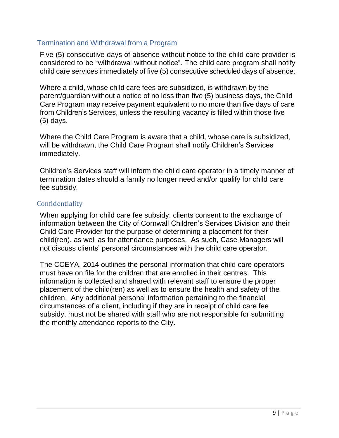### <span id="page-8-0"></span>Termination and Withdrawal from a Program

Five (5) consecutive days of absence without notice to the child care provider is considered to be "withdrawal without notice". The child care program shall notify child care services immediately of five (5) consecutive scheduled days of absence.

Where a child, whose child care fees are subsidized, is withdrawn by the parent/guardian without a notice of no less than five (5) business days, the Child Care Program may receive payment equivalent to no more than five days of care from Children's Services, unless the resulting vacancy is filled within those five (5) days.

Where the Child Care Program is aware that a child, whose care is subsidized, will be withdrawn, the Child Care Program shall notify Children's Services immediately.

Children's Services staff will inform the child care operator in a timely manner of termination dates should a family no longer need and/or qualify for child care fee subsidy.

#### <span id="page-8-1"></span>Confidentiality

When applying for child care fee subsidy, clients consent to the exchange of information between the City of Cornwall Children's Services Division and their Child Care Provider for the purpose of determining a placement for their child(ren), as well as for attendance purposes. As such, Case Managers will not discuss clients' personal circumstances with the child care operator.

The CCEYA, 2014 outlines the personal information that child care operators must have on file for the children that are enrolled in their centres. This information is collected and shared with relevant staff to ensure the proper placement of the child(ren) as well as to ensure the health and safety of the children. Any additional personal information pertaining to the financial circumstances of a client, including if they are in receipt of child care fee subsidy, must not be shared with staff who are not responsible for submitting the monthly attendance reports to the City.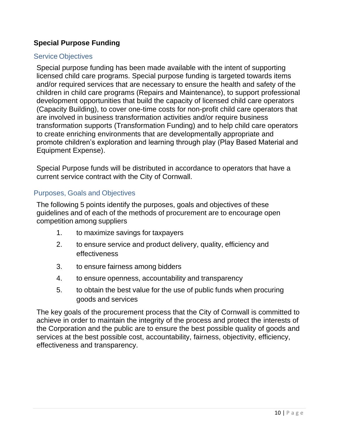## <span id="page-9-0"></span>**Special Purpose Funding**

#### <span id="page-9-1"></span>Service Objectives

Special purpose funding has been made available with the intent of supporting licensed child care programs. Special purpose funding is targeted towards items and/or required services that are necessary to ensure the health and safety of the children in child care programs (Repairs and Maintenance), to support professional development opportunities that build the capacity of licensed child care operators (Capacity Building), to cover one-time costs for non-profit child care operators that are involved in business transformation activities and/or require business transformation supports (Transformation Funding) and to help child care operators to create enriching environments that are developmentally appropriate and promote children's exploration and learning through play (Play Based Material and Equipment Expense).

Special Purpose funds will be distributed in accordance to operators that have a current service contract with the City of Cornwall.

#### <span id="page-9-2"></span>Purposes, Goals and Objectives

The following 5 points identify the purposes, goals and objectives of these guidelines and of each of the methods of procurement are to encourage open competition among suppliers

- 1. to maximize savings for taxpayers
- 2. to ensure service and product delivery, quality, efficiency and effectiveness
- 3. to ensure fairness among bidders
- 4. to ensure openness, accountability and transparency
- 5. to obtain the best value for the use of public funds when procuring goods and services

The key goals of the procurement process that the City of Cornwall is committed to achieve in order to maintain the integrity of the process and protect the interests of the Corporation and the public are to ensure the best possible quality of goods and services at the best possible cost, accountability, fairness, objectivity, efficiency, effectiveness and transparency.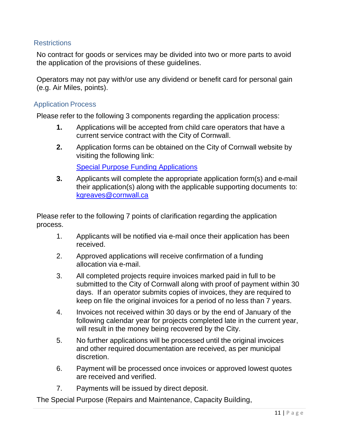## <span id="page-10-0"></span>**Restrictions**

No contract for goods or services may be divided into two or more parts to avoid the application of the provisions of these guidelines.

Operators may not pay with/or use any dividend or benefit card for personal gain (e.g. Air Miles, points).

#### <span id="page-10-1"></span>Application Process

Please refer to the following 3 components regarding the application process:

- **1.** Applications will be accepted from child care operators that have a current service contract with the City of Cornwall.
- **2.** Application forms can be obtained on the City of Cornwall website by visiting the following link:

[Special Purpose Funding Applications](https://www.cornwall.ca/en/live-here/child-care-wage-enhancement-funding.aspx)

**3.** Applicants will complete the appropriate application form(s) and e-mail their application(s) along with the applicable supporting documents to: [kgreaves@cornwall.ca](mailto:kgreaves@cornwall.ca)

Please refer to the following 7 points of clarification regarding the application process.

- 1. Applicants will be notified via e-mail once their application has been received.
- 2. Approved applications will receive confirmation of a funding allocation via e-mail.
- 3. All completed projects require invoices marked paid in full to be submitted to the City of Cornwall along with proof of payment within 30 days. If an operator submits copies of invoices, they are required to keep on file the original invoices for a period of no less than 7 years.
- 4. Invoices not received within 30 days or by the end of January of the following calendar year for projects completed late in the current year, will result in the money being recovered by the City.
- 5. No further applications will be processed until the original invoices and other required documentation are received, as per municipal discretion.
- 6. Payment will be processed once invoices or approved lowest quotes are received and verified.
- 7. Payments will be issued by direct deposit.

The Special Purpose (Repairs and Maintenance, Capacity Building,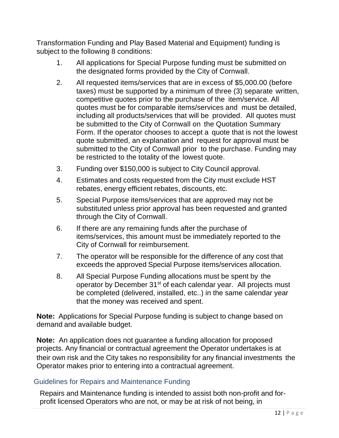Transformation Funding and Play Based Material and Equipment) funding is subject to the following 8 conditions:

- 1. All applications for Special Purpose funding must be submitted on the designated forms provided by the City of Cornwall.
- 2. All requested items/services that are in excess of \$5,000.00 (before taxes) must be supported by a minimum of three (3) separate written, competitive quotes prior to the purchase of the item/service. All quotes must be for comparable items/services and must be detailed, including all products/services that will be provided. All quotes must be submitted to the City of Cornwall on the Quotation Summary Form. If the operator chooses to accept a quote that is not the lowest quote submitted, an explanation and request for approval must be submitted to the City of Cornwall prior to the purchase. Funding may be restricted to the totality of the lowest quote.
- 3. Funding over \$150,000 is subject to City Council approval.
- 4. Estimates and costs requested from the City must exclude HST rebates, energy efficient rebates, discounts, etc.
- 5. Special Purpose items/services that are approved may not be substituted unless prior approval has been requested and granted through the City of Cornwall.
- 6. If there are any remaining funds after the purchase of items/services, this amount must be immediately reported to the City of Cornwall for reimbursement.
- 7. The operator will be responsible for the difference of any cost that exceeds the approved Special Purpose items/services allocation.
- 8. All Special Purpose Funding allocations must be spent by the operator by December 31<sup>st</sup> of each calendar year. All projects must be completed (delivered, installed, etc..) in the same calendar year that the money was received and spent.

**Note:** Applications for Special Purpose funding is subject to change based on demand and available budget.

**Note:** An application does not guarantee a funding allocation for proposed projects. Any financial or contractual agreement the Operator undertakes is at their own risk and the City takes no responsibility for any financial investments the Operator makes prior to entering into a contractual agreement.

## <span id="page-11-0"></span>Guidelines for Repairs and Maintenance Funding

Repairs and Maintenance funding is intended to assist both non-profit and forprofit licensed Operators who are not, or may be at risk of not being, in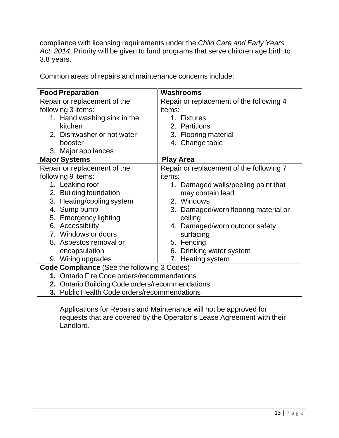compliance with licensing requirements under the *Child Care and Early Years Act, 2014.* Priority will be given to fund programs that serve children age birth to 3.8 years.

Common areas of repairs and maintenance concerns include:

| <b>Food Preparation</b>                         | <b>Washrooms</b>                         |  |
|-------------------------------------------------|------------------------------------------|--|
| Repair or replacement of the                    | Repair or replacement of the following 4 |  |
| following 3 items:                              | items:                                   |  |
| 1. Hand washing sink in the                     | 1. Fixtures                              |  |
| kitchen                                         | 2. Partitions                            |  |
| 2. Dishwasher or hot water                      | 3. Flooring material                     |  |
| booster                                         | 4. Change table                          |  |
| 3. Major appliances                             |                                          |  |
| <b>Major Systems</b>                            | <b>Play Area</b>                         |  |
| Repair or replacement of the                    | Repair or replacement of the following 7 |  |
| following 9 items:                              | items:                                   |  |
| 1. Leaking roof                                 | 1. Damaged walls/peeling paint that      |  |
| 2. Building foundation                          | may contain lead                         |  |
| 3. Heating/cooling system                       | 2. Windows                               |  |
| 4. Sump pump                                    | 3. Damaged/worn flooring material or     |  |
| 5. Emergency lighting                           | ceiling                                  |  |
| 6. Accessibility                                | 4. Damaged/worn outdoor safety           |  |
| 7. Windows or doors                             | surfacing                                |  |
| 8. Asbestos removal or                          | 5. Fencing                               |  |
| encapsulation                                   | 6. Drinking water system                 |  |
| 9. Wiring upgrades                              | 7. Heating system                        |  |
| Code Compliance (See the following 3 Codes)     |                                          |  |
| 1. Ontario Fire Code orders/recommendations     |                                          |  |
| 2. Ontario Building Code orders/recommendations |                                          |  |
| 3. Public Health Code orders/recommendations    |                                          |  |

Applications for Repairs and Maintenance will not be approved for requests that are covered by the Operator's Lease Agreement with their Landlord.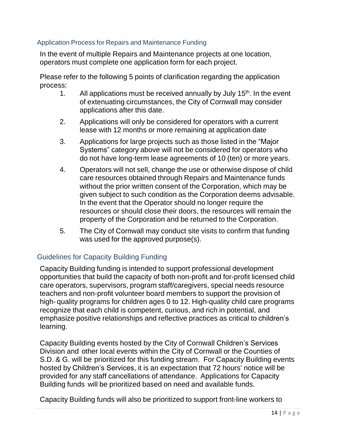#### <span id="page-13-0"></span>Application Process for Repairs and Maintenance Funding

In the event of multiple Repairs and Maintenance projects at one location, operators must complete one application form for each project.

Please refer to the following 5 points of clarification regarding the application process:

- 1. All applications must be received annually by July 15<sup>th</sup>. In the event of extenuating circumstances, the City of Cornwall may consider applications after this date.
- 2. Applications will only be considered for operators with a current lease with 12 months or more remaining at application date
- 3. Applications for large projects such as those listed in the "Major Systems" category above will not be considered for operators who do not have long-term lease agreements of 10 (ten) or more years.
- 4. Operators will not sell, change the use or otherwise dispose of child care resources obtained through Repairs and Maintenance funds without the prior written consent of the Corporation, which may be given subject to such condition as the Corporation deems advisable. In the event that the Operator should no longer require the resources or should close their doors, the resources will remain the property of the Corporation and be returned to the Corporation.
- 5. The City of Cornwall may conduct site visits to confirm that funding was used for the approved purpose(s).

## <span id="page-13-1"></span>Guidelines for Capacity Building Funding

Capacity Building funding is intended to support professional development opportunities that build the capacity of both non-profit and for-profit licensed child care operators, supervisors, program staff/caregivers, special needs resource teachers and non-profit volunteer board members to support the provision of high- quality programs for children ages 0 to 12. High-quality child care programs recognize that each child is competent, curious, and rich in potential, and emphasize positive relationships and reflective practices as critical to children's learning.

Capacity Building events hosted by the City of Cornwall Children's Services Division and other local events within the City of Cornwall or the Counties of S.D. & G. will be prioritized for this funding stream. For Capacity Building events hosted by Children's Services, it is an expectation that 72 hours' notice will be provided for any staff cancellations of attendance. Applications for Capacity Building funds will be prioritized based on need and available funds.

Capacity Building funds will also be prioritized to support front-line workers to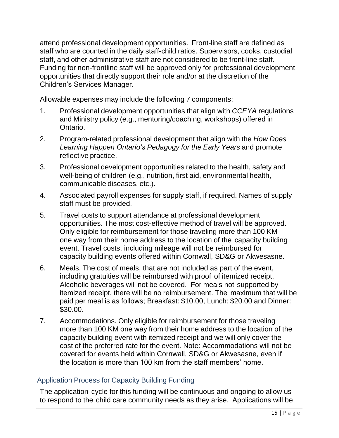attend professional development opportunities. Front-line staff are defined as staff who are counted in the daily staff-child ratios. Supervisors, cooks, custodial staff, and other administrative staff are not considered to be front-line staff. Funding for non-frontline staff will be approved only for professional development opportunities that directly support their role and/or at the discretion of the Children's Services Manager.

Allowable expenses may include the following 7 components:

- 1. Professional development opportunities that align with *CCEYA* regulations and Ministry policy (e.g., mentoring/coaching, workshops) offered in Ontario.
- 2. Program-related professional development that align with the *How Does Learning Happen Ontario's Pedagogy for the Early Years* and promote reflective practice.
- 3. Professional development opportunities related to the health, safety and well-being of children (e.g., nutrition, first aid, environmental health, communicable diseases, etc.).
- 4. Associated payroll expenses for supply staff, if required. Names of supply staff must be provided.
- 5. Travel costs to support attendance at professional development opportunities. The most cost-effective method of travel will be approved. Only eligible for reimbursement for those traveling more than 100 KM one way from their home address to the location of the capacity building event. Travel costs, including mileage will not be reimbursed for capacity building events offered within Cornwall, SD&G or Akwesasne.
- 6. Meals. The cost of meals, that are not included as part of the event, including gratuities will be reimbursed with proof of itemized receipt. Alcoholic beverages will not be covered. For meals not supported by itemized receipt, there will be no reimbursement. The maximum that will be paid per meal is as follows; Breakfast: \$10.00, Lunch: \$20.00 and Dinner: \$30.00.
- 7. Accommodations. Only eligible for reimbursement for those traveling more than 100 KM one way from their home address to the location of the capacity building event with itemized receipt and we will only cover the cost of the preferred rate for the event. Note: Accommodations will not be covered for events held within Cornwall, SD&G or Akwesasne, even if the location is more than 100 km from the staff members' home.

## <span id="page-14-0"></span>Application Process for Capacity Building Funding

The application cycle for this funding will be continuous and ongoing to allow us to respond to the child care community needs as they arise. Applications will be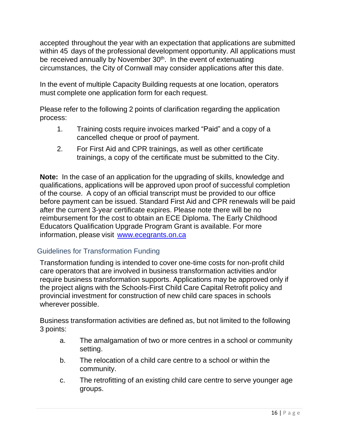accepted throughout the year with an expectation that applications are submitted within 45 days of the professional development opportunity. All applications must be received annually by November 30<sup>th</sup>. In the event of extenuating circumstances, the City of Cornwall may consider applications after this date.

In the event of multiple Capacity Building requests at one location, operators must complete one application form for each request.

Please refer to the following 2 points of clarification regarding the application process:

- 1. Training costs require invoices marked "Paid" and a copy of a cancelled cheque or proof of payment.
- 2. For First Aid and CPR trainings, as well as other certificate trainings, a copy of the certificate must be submitted to the City.

**Note:** In the case of an application for the upgrading of skills, knowledge and qualifications, applications will be approved upon proof of successful completion of the course. A copy of an official transcript must be provided to our office before payment can be issued. Standard First Aid and CPR renewals will be paid after the current 3-year certificate expires. Please note there will be no reimbursement for the cost to obtain an ECE Diploma. The Early Childhood Educators Qualification Upgrade Program Grant is available. For more information, please visit [www.ecegrants.on.ca](http://www.ecegrants.on.ca/) 

## <span id="page-15-0"></span>Guidelines for Transformation Funding

Transformation funding is intended to cover one-time costs for non-profit child care operators that are involved in business transformation activities and/or require business transformation supports. Applications may be approved only if the project aligns with the Schools-First Child Care Capital Retrofit policy and provincial investment for construction of new child care spaces in schools wherever possible.

Business transformation activities are defined as, but not limited to the following 3 points:

- a. The amalgamation of two or more centres in a school or community setting.
- b. The relocation of a child care centre to a school or within the community.
- c. The retrofitting of an existing child care centre to serve younger age groups.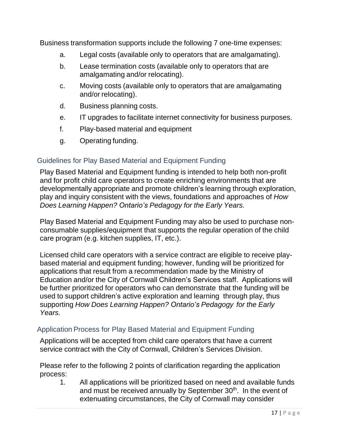Business transformation supports include the following 7 one-time expenses:

- a. Legal costs (available only to operators that are amalgamating).
- b. Lease termination costs (available only to operators that are amalgamating and/or relocating).
- c. Moving costs (available only to operators that are amalgamating and/or relocating).
- d. Business planning costs.
- e. IT upgrades to facilitate internet connectivity for business purposes.
- f. Play-based material and equipment
- g. Operating funding.

#### <span id="page-16-0"></span>Guidelines for Play Based Material and Equipment Funding

Play Based Material and Equipment funding is intended to help both non-profit and for profit child care operators to create enriching environments that are developmentally appropriate and promote children's learning through exploration, play and inquiry consistent with the views, foundations and approaches of *How Does Learning Happen? Ontario's Pedagogy for the Early Years.*

Play Based Material and Equipment Funding may also be used to purchase nonconsumable supplies/equipment that supports the regular operation of the child care program (e.g. kitchen supplies, IT, etc.).

Licensed child care operators with a service contract are eligible to receive playbased material and equipment funding; however, funding will be prioritized for applications that result from a recommendation made by the Ministry of Education and/or the City of Cornwall Children's Services staff. Applications will be further prioritized for operators who can demonstrate that the funding will be used to support children's active exploration and learning through play, thus supporting *How Does Learning Happen? Ontario's Pedagogy for the Early Years.*

#### <span id="page-16-1"></span>Application Process for Play Based Material and Equipment Funding

Applications will be accepted from child care operators that have a current service contract with the City of Cornwall, Children's Services Division.

Please refer to the following 2 points of clarification regarding the application process:

1. All applications will be prioritized based on need and available funds and must be received annually by September 30<sup>th</sup>. In the event of extenuating circumstances, the City of Cornwall may consider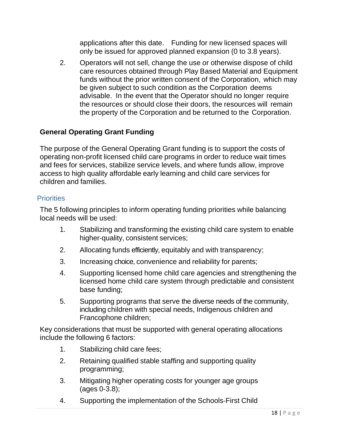applications after this date. Funding for new licensed spaces will only be issued for approved planned expansion (0 to 3.8 years).

2. Operators will not sell, change the use or otherwise dispose of child care resources obtained through Play Based Material and Equipment funds without the prior written consent of the Corporation, which may be given subject to such condition as the Corporation deems advisable. In the event that the Operator should no longer require the resources or should close their doors, the resources will remain the property of the Corporation and be returned to the Corporation.

## <span id="page-17-0"></span>**General Operating Grant Funding**

The purpose of the General Operating Grant funding is to support the costs of operating non-profit licensed child care programs in order to reduce wait times and fees for services, stabilize service levels, and where funds allow, improve access to high quality affordable early learning and child care services for children and families.

#### <span id="page-17-1"></span>**Priorities**

The 5 following principles to inform operating funding priorities while balancing local needs will be used:

- 1. Stabilizing and transforming the existing child care system to enable higher-quality, consistent services;
- 2. Allocating funds efficiently, equitably and with transparency;
- 3. Increasing choice, convenience and reliability for parents;
- 4. Supporting licensed home child care agencies and strengthening the licensed home child care system through predictable and consistent base funding;
- 5. Supporting programs that serve the diverse needs of the community, including children with special needs, Indigenous children and Francophone children;

Key considerations that must be supported with general operating allocations include the following 6 factors:

- 1. Stabilizing child care fees;
- 2. Retaining qualified stable staffing and supporting quality programming;
- 3. Mitigating higher operating costs for younger age groups (ages 0-3.8);
- 4. Supporting the implementation of the Schools‐First Child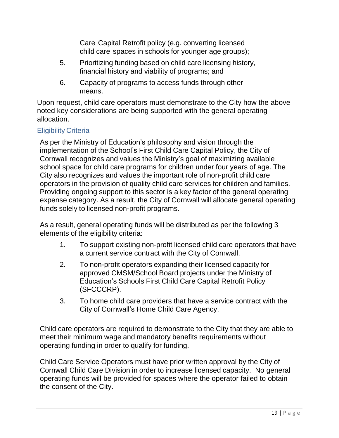Care Capital Retrofit policy (e.g. converting licensed child care spaces in schools for younger age groups);

- 5. Prioritizing funding based on child care licensing history, financial history and viability of programs; and
- 6. Capacity of programs to access funds through other means.

Upon request, child care operators must demonstrate to the City how the above noted key considerations are being supported with the general operating allocation.

## <span id="page-18-0"></span>Eligibility Criteria

As per the Ministry of Education's philosophy and vision through the implementation of the School's First Child Care Capital Policy, the City of Cornwall recognizes and values the Ministry's goal of maximizing available school space for child care programs for children under four years of age. The City also recognizes and values the important role of non-profit child care operators in the provision of quality child care services for children and families. Providing ongoing support to this sector is a key factor of the general operating expense category. As a result, the City of Cornwall will allocate general operating funds solely to licensed non-profit programs.

As a result, general operating funds will be distributed as per the following 3 elements of the eligibility criteria:

- 1. To support existing non-profit licensed child care operators that have a current service contract with the City of Cornwall.
- 2. To non-profit operators expanding their licensed capacity for approved CMSM/School Board projects under the Ministry of Education's Schools First Child Care Capital Retrofit Policy (SFCCCRP).
- 3. To home child care providers that have a service contract with the City of Cornwall's Home Child Care Agency.

Child care operators are required to demonstrate to the City that they are able to meet their minimum wage and mandatory benefits requirements without operating funding in order to qualify for funding.

Child Care Service Operators must have prior written approval by the City of Cornwall Child Care Division in order to increase licensed capacity. No general operating funds will be provided for spaces where the operator failed to obtain the consent of the City.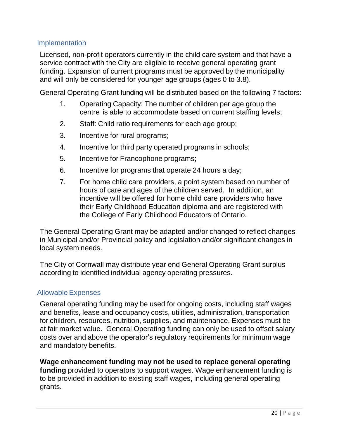### <span id="page-19-0"></span>Implementation

Licensed, non-profit operators currently in the child care system and that have a service contract with the City are eligible to receive general operating grant funding. Expansion of current programs must be approved by the municipality and will only be considered for younger age groups (ages 0 to 3.8).

General Operating Grant funding will be distributed based on the following 7 factors:

- 1. Operating Capacity: The number of children per age group the centre is able to accommodate based on current staffing levels;
- 2. Staff: Child ratio requirements for each age group;
- 3. Incentive for rural programs;
- 4. Incentive for third party operated programs in schools;
- 5. Incentive for Francophone programs;
- 6. Incentive for programs that operate 24 hours a day;
- 7. For home child care providers, a point system based on number of hours of care and ages of the children served. In addition, an incentive will be offered for home child care providers who have their Early Childhood Education diploma and are registered with the College of Early Childhood Educators of Ontario.

The General Operating Grant may be adapted and/or changed to reflect changes in Municipal and/or Provincial policy and legislation and/or significant changes in local system needs.

The City of Cornwall may distribute year end General Operating Grant surplus according to identified individual agency operating pressures.

#### <span id="page-19-1"></span>Allowable Expenses

General operating funding may be used for ongoing costs, including staff wages and benefits, lease and occupancy costs, utilities, administration, transportation for children, resources, nutrition, supplies, and maintenance. Expenses must be at fair market value. General Operating funding can only be used to offset salary costs over and above the operator's regulatory requirements for minimum wage and mandatory benefits.

**Wage enhancement funding may not be used to replace general operating funding** provided to operators to support wages. Wage enhancement funding is to be provided in addition to existing staff wages, including general operating grants.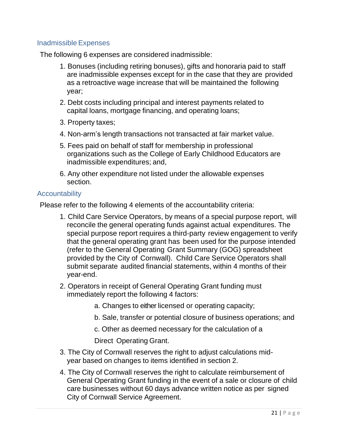## <span id="page-20-0"></span>Inadmissible Expenses

The following 6 expenses are considered inadmissible:

- 1. Bonuses (including retiring bonuses), gifts and honoraria paid to staff are inadmissible expenses except for in the case that they are provided as a retroactive wage increase that will be maintained the following year;
- 2. Debt costs including principal and interest payments related to capital loans, mortgage financing, and operating loans;
- 3. Property taxes;
- 4. Non-arm's length transactions not transacted at fair market value.
- 5. Fees paid on behalf of staff for membership in professional organizations such as the College of Early Childhood Educators are inadmissible expenditures; and,
- 6. Any other expenditure not listed under the allowable expenses section.

#### <span id="page-20-1"></span>**Accountability**

Please refer to the following 4 elements of the accountability criteria:

- 1. Child Care Service Operators, by means of a special purpose report, will reconcile the general operating funds against actual expenditures. The special purpose report requires a third-party review engagement to verify that the general operating grant has been used for the purpose intended (refer to the General Operating Grant Summary (GOG) spreadsheet provided by the City of Cornwall). Child Care Service Operators shall submit separate audited financial statements, within 4 months of their year-end.
- 2. Operators in receipt of General Operating Grant funding must immediately report the following 4 factors:
	- a. Changes to either licensed or operating capacity;
	- b. Sale, transfer or potential closure of business operations; and
	- c. Other as deemed necessary for the calculation of a

Direct Operating Grant.

- 3. The City of Cornwall reserves the right to adjust calculations midyear based on changes to items identified in section 2.
- 4. The City of Cornwall reserves the right to calculate reimbursement of General Operating Grant funding in the event of a sale or closure of child care businesses without 60 days advance written notice as per signed City of Cornwall Service Agreement.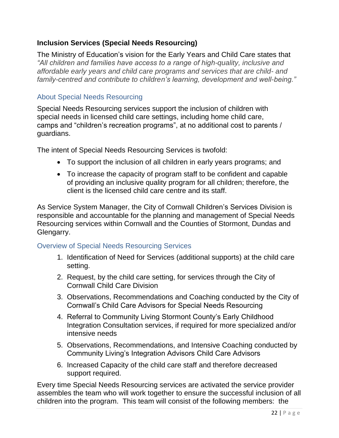## <span id="page-21-0"></span>**Inclusion Services (Special Needs Resourcing)**

The Ministry of Education's vision for the Early Years and Child Care states that *"All children and families have access to a range of high-quality, inclusive and affordable early years and child care programs and services that are child- and family-centred and contribute to children's learning, development and well-being."*

### <span id="page-21-1"></span>About Special Needs Resourcing

Special Needs Resourcing services support the inclusion of children with special needs in licensed child care settings, including home child care, camps and "children's recreation programs", at no additional cost to parents / guardians.

The intent of Special Needs Resourcing Services is twofold:

- To support the inclusion of all children in early years programs; and
- To increase the capacity of program staff to be confident and capable of providing an inclusive quality program for all children; therefore, the client is the licensed child care centre and its staff.

As Service System Manager, the City of Cornwall Children's Services Division is responsible and accountable for the planning and management of Special Needs Resourcing services within Cornwall and the Counties of Stormont, Dundas and Glengarry.

#### <span id="page-21-2"></span>Overview of Special Needs Resourcing Services

- 1. Identification of Need for Services (additional supports) at the child care setting.
- 2. Request, by the child care setting, for services through the City of Cornwall Child Care Division
- 3. Observations, Recommendations and Coaching conducted by the City of Cornwall's Child Care Advisors for Special Needs Resourcing
- 4. Referral to Community Living Stormont County's Early Childhood Integration Consultation services, if required for more specialized and/or intensive needs
- 5. Observations, Recommendations, and Intensive Coaching conducted by Community Living's Integration Advisors Child Care Advisors
- 6. Increased Capacity of the child care staff and therefore decreased support required.

Every time Special Needs Resourcing services are activated the service provider assembles the team who will work together to ensure the successful inclusion of all children into the program. This team will consist of the following members: the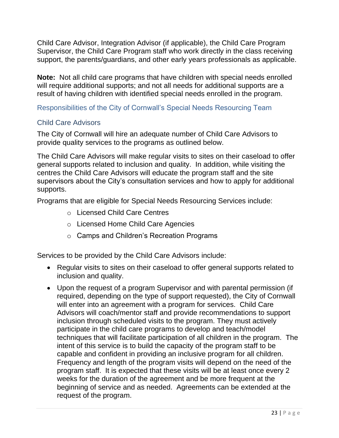Child Care Advisor, Integration Advisor (if applicable), the Child Care Program Supervisor, the Child Care Program staff who work directly in the class receiving support, the parents/guardians, and other early years professionals as applicable.

**Note:** Not all child care programs that have children with special needs enrolled will require additional supports; and not all needs for additional supports are a result of having children with identified special needs enrolled in the program.

<span id="page-22-0"></span>Responsibilities of the City of Cornwall's Special Needs Resourcing Team

## <span id="page-22-1"></span>Child Care Advisors

The City of Cornwall will hire an adequate number of Child Care Advisors to provide quality services to the programs as outlined below.

The Child Care Advisors will make regular visits to sites on their caseload to offer general supports related to inclusion and quality. In addition, while visiting the centres the Child Care Advisors will educate the program staff and the site supervisors about the City's consultation services and how to apply for additional supports.

Programs that are eligible for Special Needs Resourcing Services include:

- o Licensed Child Care Centres
- o Licensed Home Child Care Agencies
- o Camps and Children's Recreation Programs

Services to be provided by the Child Care Advisors include:

- Regular visits to sites on their caseload to offer general supports related to inclusion and quality.
- Upon the request of a program Supervisor and with parental permission (if required, depending on the type of support requested), the City of Cornwall will enter into an agreement with a program for services. Child Care Advisors will coach/mentor staff and provide recommendations to support inclusion through scheduled visits to the program. They must actively participate in the child care programs to develop and teach/model techniques that will facilitate participation of all children in the program. The intent of this service is to build the capacity of the program staff to be capable and confident in providing an inclusive program for all children. Frequency and length of the program visits will depend on the need of the program staff. It is expected that these visits will be at least once every 2 weeks for the duration of the agreement and be more frequent at the beginning of service and as needed. Agreements can be extended at the request of the program.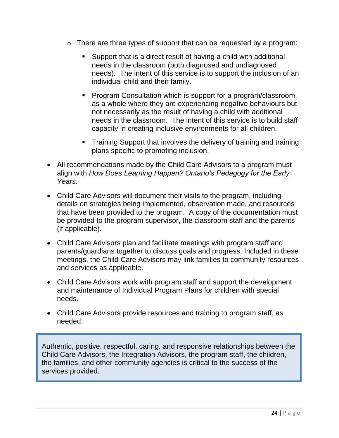- o There are three types of support that can be requested by a program:
	- Support that is a direct result of having a child with additional needs in the classroom (both diagnosed and undiagnosed needs). The intent of this service is to support the inclusion of an individual child and their family.
	- Program Consultation which is support for a program/classroom as a whole where they are experiencing negative behaviours but not necessarily as the result of having a child with additional needs in the classroom. The intent of this service is to build staff capacity in creating inclusive environments for all children.
	- **Training Support that involves the delivery of training and training** plans specific to promoting inclusion.
- All recommendations made by the Child Care Advisors to a program must align with *How Does Learning Happen? Ontario's Pedagogy for the Early Years.*
- Child Care Advisors will document their visits to the program, including details on strategies being implemented, observation made, and resources that have been provided to the program. A copy of the documentation must be provided to the program supervisor, the classroom staff and the parents (if applicable).
- Child Care Advisors plan and facilitate meetings with program staff and parents/guardians together to discuss goals and progress. Included in these meetings, the Child Care Advisors may link families to community resources and services as applicable.
- Child Care Advisors work with program staff and support the development and maintenance of Individual Program Plans for children with special needs.
- Child Care Advisors provide resources and training to program staff, as needed.

Authentic, positive, respectful, caring, and responsive relationships between the Child Care Advisors, the Integration Advisors, the program staff, the children, the families, and other community agencies is critical to the success of the services provided.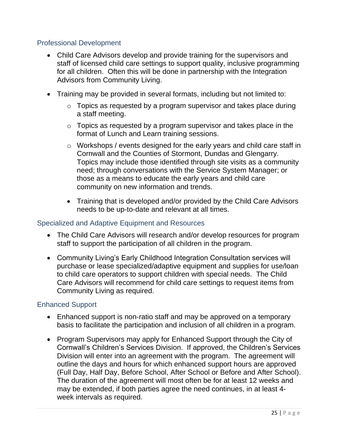## <span id="page-24-0"></span>Professional Development

- Child Care Advisors develop and provide training for the supervisors and staff of licensed child care settings to support quality, inclusive programming for all children. Often this will be done in partnership with the Integration Advisors from Community Living.
- Training may be provided in several formats, including but not limited to:
	- $\circ$  Topics as requested by a program supervisor and takes place during a staff meeting.
	- $\circ$  Topics as requested by a program supervisor and takes place in the format of Lunch and Learn training sessions.
	- o Workshops / events designed for the early years and child care staff in Cornwall and the Counties of Stormont, Dundas and Glengarry. Topics may include those identified through site visits as a community need; through conversations with the Service System Manager; or those as a means to educate the early years and child care community on new information and trends.
	- Training that is developed and/or provided by the Child Care Advisors needs to be up-to-date and relevant at all times.

### <span id="page-24-1"></span>Specialized and Adaptive Equipment and Resources

- The Child Care Advisors will research and/or develop resources for program staff to support the participation of all children in the program.
- Community Living's Early Childhood Integration Consultation services will purchase or lease specialized/adaptive equipment and supplies for use/loan to child care operators to support children with special needs. The Child Care Advisors will recommend for child care settings to request items from Community Living as required.

## <span id="page-24-2"></span>Enhanced Support

- Enhanced support is non-ratio staff and may be approved on a temporary basis to facilitate the participation and inclusion of all children in a program.
- Program Supervisors may apply for Enhanced Support through the City of Cornwall's Children's Services Division. If approved, the Children's Services Division will enter into an agreement with the program. The agreement will outline the days and hours for which enhanced support hours are approved (Full Day, Half Day, Before School, After School or Before and After School). The duration of the agreement will most often be for at least 12 weeks and may be extended, if both parties agree the need continues, in at least 4 week intervals as required.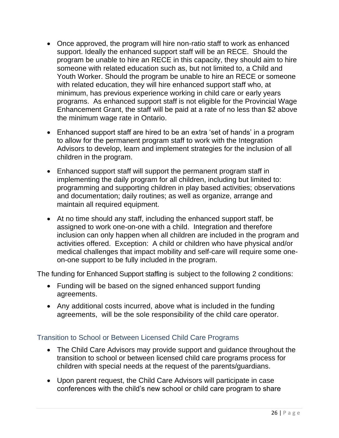- Once approved, the program will hire non-ratio staff to work as enhanced support. Ideally the enhanced support staff will be an RECE. Should the program be unable to hire an RECE in this capacity, they should aim to hire someone with related education such as, but not limited to, a Child and Youth Worker. Should the program be unable to hire an RECE or someone with related education, they will hire enhanced support staff who, at minimum, has previous experience working in child care or early years programs. As enhanced support staff is not eligible for the Provincial Wage Enhancement Grant, the staff will be paid at a rate of no less than \$2 above the minimum wage rate in Ontario.
- Enhanced support staff are hired to be an extra 'set of hands' in a program to allow for the permanent program staff to work with the Integration Advisors to develop, learn and implement strategies for the inclusion of all children in the program.
- Enhanced support staff will support the permanent program staff in implementing the daily program for all children, including but limited to: programming and supporting children in play based activities; observations and documentation; daily routines; as well as organize, arrange and maintain all required equipment.
- At no time should any staff, including the enhanced support staff, be assigned to work one-on-one with a child. Integration and therefore inclusion can only happen when all children are included in the program and activities offered. Exception: A child or children who have physical and/or medical challenges that impact mobility and self-care will require some oneon-one support to be fully included in the program.

The funding for Enhanced Support staffing is subject to the following 2 conditions:

- Funding will be based on the signed enhanced support funding agreements.
- Any additional costs incurred, above what is included in the funding agreements, will be the sole responsibility of the child care operator.

## <span id="page-25-0"></span>Transition to School or Between Licensed Child Care Programs

- The Child Care Advisors may provide support and guidance throughout the transition to school or between licensed child care programs process for children with special needs at the request of the parents/guardians.
- Upon parent request, the Child Care Advisors will participate in case conferences with the child's new school or child care program to share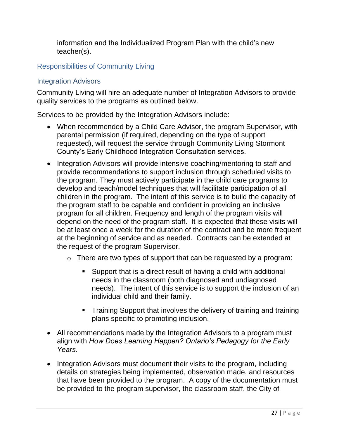information and the Individualized Program Plan with the child's new teacher(s).

## <span id="page-26-0"></span>Responsibilities of Community Living

## <span id="page-26-1"></span>Integration Advisors

Community Living will hire an adequate number of Integration Advisors to provide quality services to the programs as outlined below.

Services to be provided by the Integration Advisors include:

- When recommended by a Child Care Advisor, the program Supervisor, with parental permission (if required, depending on the type of support requested), will request the service through Community Living Stormont County's Early Childhood Integration Consultation services.
- Integration Advisors will provide intensive coaching/mentoring to staff and provide recommendations to support inclusion through scheduled visits to the program. They must actively participate in the child care programs to develop and teach/model techniques that will facilitate participation of all children in the program. The intent of this service is to build the capacity of the program staff to be capable and confident in providing an inclusive program for all children. Frequency and length of the program visits will depend on the need of the program staff. It is expected that these visits will be at least once a week for the duration of the contract and be more frequent at the beginning of service and as needed. Contracts can be extended at the request of the program Supervisor.
	- o There are two types of support that can be requested by a program:
		- Support that is a direct result of having a child with additional needs in the classroom (both diagnosed and undiagnosed needs). The intent of this service is to support the inclusion of an individual child and their family.
		- **Training Support that involves the delivery of training and training** plans specific to promoting inclusion.
- All recommendations made by the Integration Advisors to a program must align with *How Does Learning Happen? Ontario's Pedagogy for the Early Years.*
- Integration Advisors must document their visits to the program, including details on strategies being implemented, observation made, and resources that have been provided to the program. A copy of the documentation must be provided to the program supervisor, the classroom staff, the City of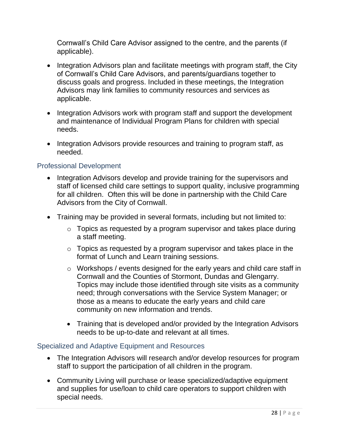Cornwall's Child Care Advisor assigned to the centre, and the parents (if applicable).

- Integration Advisors plan and facilitate meetings with program staff, the City of Cornwall's Child Care Advisors, and parents/guardians together to discuss goals and progress. Included in these meetings, the Integration Advisors may link families to community resources and services as applicable.
- Integration Advisors work with program staff and support the development and maintenance of Individual Program Plans for children with special needs.
- Integration Advisors provide resources and training to program staff, as needed.

## <span id="page-27-0"></span>Professional Development

- Integration Advisors develop and provide training for the supervisors and staff of licensed child care settings to support quality, inclusive programming for all children. Often this will be done in partnership with the Child Care Advisors from the City of Cornwall.
- Training may be provided in several formats, including but not limited to:
	- $\circ$  Topics as requested by a program supervisor and takes place during a staff meeting.
	- $\circ$  Topics as requested by a program supervisor and takes place in the format of Lunch and Learn training sessions.
	- o Workshops / events designed for the early years and child care staff in Cornwall and the Counties of Stormont, Dundas and Glengarry. Topics may include those identified through site visits as a community need; through conversations with the Service System Manager; or those as a means to educate the early years and child care community on new information and trends.
	- Training that is developed and/or provided by the Integration Advisors needs to be up-to-date and relevant at all times.

## <span id="page-27-1"></span>Specialized and Adaptive Equipment and Resources

- The Integration Advisors will research and/or develop resources for program staff to support the participation of all children in the program.
- Community Living will purchase or lease specialized/adaptive equipment and supplies for use/loan to child care operators to support children with special needs.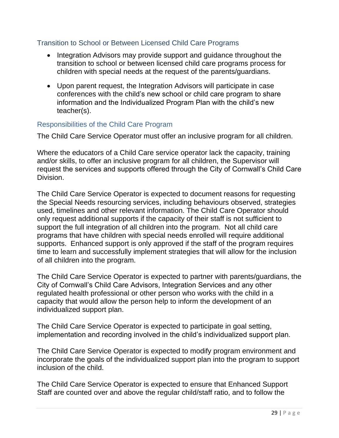## <span id="page-28-0"></span>Transition to School or Between Licensed Child Care Programs

- Integration Advisors may provide support and guidance throughout the transition to school or between licensed child care programs process for children with special needs at the request of the parents/guardians.
- Upon parent request, the Integration Advisors will participate in case conferences with the child's new school or child care program to share information and the Individualized Program Plan with the child's new teacher(s).

#### <span id="page-28-1"></span>Responsibilities of the Child Care Program

The Child Care Service Operator must offer an inclusive program for all children.

Where the educators of a Child Care service operator lack the capacity, training and/or skills, to offer an inclusive program for all children, the Supervisor will request the services and supports offered through the City of Cornwall's Child Care Division.

The Child Care Service Operator is expected to document reasons for requesting the Special Needs resourcing services, including behaviours observed, strategies used, timelines and other relevant information. The Child Care Operator should only request additional supports if the capacity of their staff is not sufficient to support the full integration of all children into the program. Not all child care programs that have children with special needs enrolled will require additional supports. Enhanced support is only approved if the staff of the program requires time to learn and successfully implement strategies that will allow for the inclusion of all children into the program.

The Child Care Service Operator is expected to partner with parents/guardians, the City of Cornwall's Child Care Advisors, Integration Services and any other regulated health professional or other person who works with the child in a capacity that would allow the person help to inform the development of an individualized support plan.

The Child Care Service Operator is expected to participate in goal setting, implementation and recording involved in the child's individualized support plan.

The Child Care Service Operator is expected to modify program environment and incorporate the goals of the individualized support plan into the program to support inclusion of the child.

The Child Care Service Operator is expected to ensure that Enhanced Support Staff are counted over and above the regular child/staff ratio, and to follow the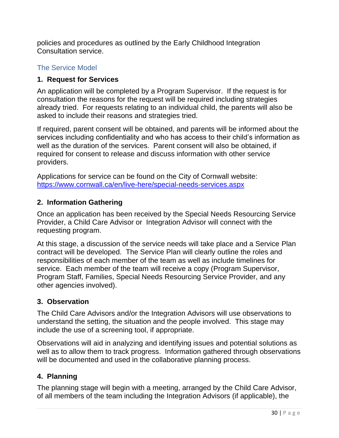policies and procedures as outlined by the Early Childhood Integration Consultation service.

## <span id="page-29-0"></span>The Service Model

### **1. Request for Services**

An application will be completed by a Program Supervisor. If the request is for consultation the reasons for the request will be required including strategies already tried. For requests relating to an individual child, the parents will also be asked to include their reasons and strategies tried.

If required, parent consent will be obtained, and parents will be informed about the services including confidentiality and who has access to their child's information as well as the duration of the services. Parent consent will also be obtained, if required for consent to release and discuss information with other service providers.

Applications for service can be found on the City of Cornwall website: <https://www.cornwall.ca/en/live-here/special-needs-services.aspx>

## **2. Information Gathering**

Once an application has been received by the Special Needs Resourcing Service Provider, a Child Care Advisor or Integration Advisor will connect with the requesting program.

At this stage, a discussion of the service needs will take place and a Service Plan contract will be developed. The Service Plan will clearly outline the roles and responsibilities of each member of the team as well as include timelines for service. Each member of the team will receive a copy (Program Supervisor, Program Staff, Families, Special Needs Resourcing Service Provider, and any other agencies involved).

## **3. Observation**

The Child Care Advisors and/or the Integration Advisors will use observations to understand the setting, the situation and the people involved. This stage may include the use of a screening tool, if appropriate.

Observations will aid in analyzing and identifying issues and potential solutions as well as to allow them to track progress. Information gathered through observations will be documented and used in the collaborative planning process.

## **4. Planning**

The planning stage will begin with a meeting, arranged by the Child Care Advisor, of all members of the team including the Integration Advisors (if applicable), the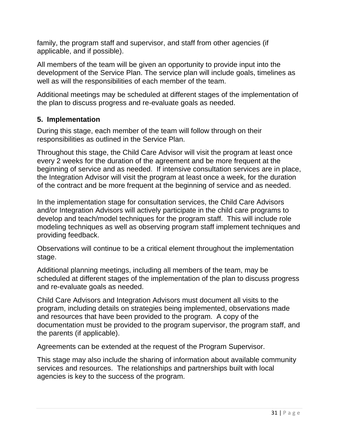family, the program staff and supervisor, and staff from other agencies (if applicable, and if possible).

All members of the team will be given an opportunity to provide input into the development of the Service Plan. The service plan will include goals, timelines as well as will the responsibilities of each member of the team.

Additional meetings may be scheduled at different stages of the implementation of the plan to discuss progress and re-evaluate goals as needed.

#### **5. Implementation**

During this stage, each member of the team will follow through on their responsibilities as outlined in the Service Plan.

Throughout this stage, the Child Care Advisor will visit the program at least once every 2 weeks for the duration of the agreement and be more frequent at the beginning of service and as needed. If intensive consultation services are in place, the Integration Advisor will visit the program at least once a week, for the duration of the contract and be more frequent at the beginning of service and as needed.

In the implementation stage for consultation services, the Child Care Advisors and/or Integration Advisors will actively participate in the child care programs to develop and teach/model techniques for the program staff. This will include role modeling techniques as well as observing program staff implement techniques and providing feedback.

Observations will continue to be a critical element throughout the implementation stage.

Additional planning meetings, including all members of the team, may be scheduled at different stages of the implementation of the plan to discuss progress and re-evaluate goals as needed.

Child Care Advisors and Integration Advisors must document all visits to the program, including details on strategies being implemented, observations made and resources that have been provided to the program. A copy of the documentation must be provided to the program supervisor, the program staff, and the parents (if applicable).

Agreements can be extended at the request of the Program Supervisor.

This stage may also include the sharing of information about available community services and resources. The relationships and partnerships built with local agencies is key to the success of the program.